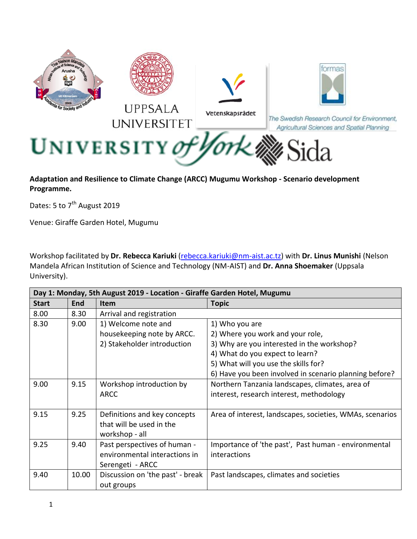

**Adaptation and Resilience to Climate Change (ARCC) Mugumu Workshop - Scenario development Programme.**

Dates: 5 to 7<sup>th</sup> August 2019

Venue: Giraffe Garden Hotel, Mugumu

Workshop facilitated by **Dr. Rebecca Kariuki** [\(rebecca.kariuki@nm-aist.ac.tz\)](mailto:rebecca.kariuki@nm-aist.ac.tz) with **Dr. Linus Munishi** (Nelson Mandela African Institution of Science and Technology (NM-AIST) and **Dr. Anna Shoemaker** (Uppsala University).

| Day 1: Monday, 5th August 2019 - Location - Giraffe Garden Hotel, Mugumu |            |                                  |                                                          |  |  |  |
|--------------------------------------------------------------------------|------------|----------------------------------|----------------------------------------------------------|--|--|--|
| <b>Start</b>                                                             | <b>End</b> | <b>Item</b>                      | <b>Topic</b>                                             |  |  |  |
| 8.00                                                                     | 8.30       | Arrival and registration         |                                                          |  |  |  |
| 8.30                                                                     | 9.00       | 1) Welcome note and              | 1) Who you are                                           |  |  |  |
|                                                                          |            | housekeeping note by ARCC.       | 2) Where you work and your role,                         |  |  |  |
|                                                                          |            | 2) Stakeholder introduction      | 3) Why are you interested in the workshop?               |  |  |  |
|                                                                          |            |                                  | 4) What do you expect to learn?                          |  |  |  |
|                                                                          |            |                                  | 5) What will you use the skills for?                     |  |  |  |
|                                                                          |            |                                  | 6) Have you been involved in scenario planning before?   |  |  |  |
| 9.00                                                                     | 9.15       | Workshop introduction by         | Northern Tanzania landscapes, climates, area of          |  |  |  |
|                                                                          |            | <b>ARCC</b>                      | interest, research interest, methodology                 |  |  |  |
|                                                                          |            |                                  |                                                          |  |  |  |
| 9.15                                                                     | 9.25       | Definitions and key concepts     | Area of interest, landscapes, societies, WMAs, scenarios |  |  |  |
|                                                                          |            | that will be used in the         |                                                          |  |  |  |
|                                                                          |            | workshop - all                   |                                                          |  |  |  |
| 9.25                                                                     | 9.40       | Past perspectives of human -     | Importance of 'the past', Past human - environmental     |  |  |  |
|                                                                          |            | environmental interactions in    | interactions                                             |  |  |  |
|                                                                          |            | Serengeti - ARCC                 |                                                          |  |  |  |
| 9.40                                                                     | 10.00      | Discussion on 'the past' - break | Past landscapes, climates and societies                  |  |  |  |
|                                                                          |            | out groups                       |                                                          |  |  |  |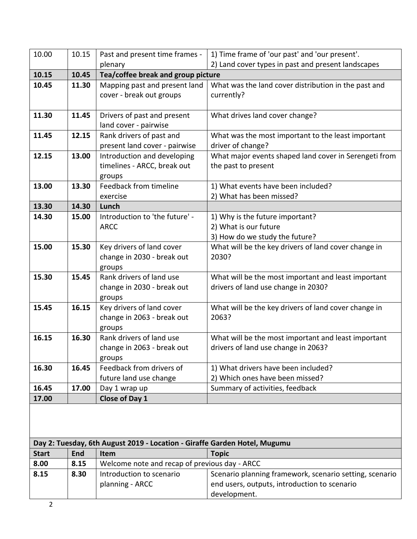| 2) Land cover types in past and present landscapes<br>What was the land cover distribution in the past and |
|------------------------------------------------------------------------------------------------------------|
|                                                                                                            |
|                                                                                                            |
|                                                                                                            |
|                                                                                                            |
|                                                                                                            |
|                                                                                                            |
|                                                                                                            |
|                                                                                                            |
| What was the most important to the least important                                                         |
|                                                                                                            |
| What major events shaped land cover in Serengeti from                                                      |
|                                                                                                            |
|                                                                                                            |
|                                                                                                            |
|                                                                                                            |
|                                                                                                            |
|                                                                                                            |
|                                                                                                            |
|                                                                                                            |
| What will be the key drivers of land cover change in                                                       |
|                                                                                                            |
|                                                                                                            |
|                                                                                                            |
| What will be the most important and least important                                                        |
|                                                                                                            |
|                                                                                                            |
| What will be the key drivers of land cover change in                                                       |
|                                                                                                            |
|                                                                                                            |
| What will be the most important and least important                                                        |
|                                                                                                            |
|                                                                                                            |
|                                                                                                            |
|                                                                                                            |
|                                                                                                            |
|                                                                                                            |
|                                                                                                            |
|                                                                                                            |
|                                                                                                            |
|                                                                                                            |
|                                                                                                            |
| Scenario planning framework, scenario setting, scenario                                                    |
|                                                                                                            |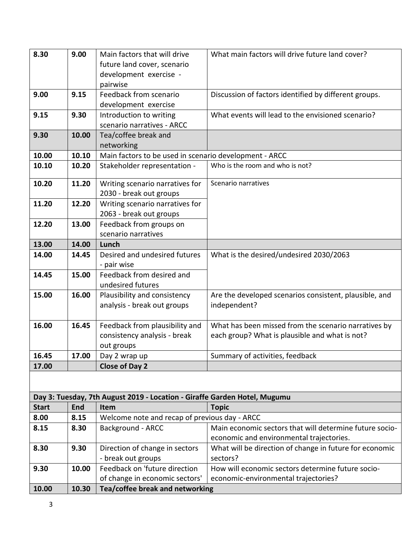| 8.30         | 9.00  | Main factors that will drive                                              | What main factors will drive future land cover?         |
|--------------|-------|---------------------------------------------------------------------------|---------------------------------------------------------|
|              |       | future land cover, scenario                                               |                                                         |
|              |       | development exercise -                                                    |                                                         |
|              |       | pairwise                                                                  |                                                         |
| 9.00         | 9.15  | Feedback from scenario                                                    | Discussion of factors identified by different groups.   |
|              |       |                                                                           |                                                         |
|              |       | development exercise                                                      | What events will lead to the envisioned scenario?       |
| 9.15         | 9.30  | Introduction to writing                                                   |                                                         |
|              |       | scenario narratives - ARCC                                                |                                                         |
| 9.30         | 10.00 | Tea/coffee break and                                                      |                                                         |
|              |       | networking                                                                |                                                         |
| 10.00        | 10.10 | Main factors to be used in scenario development - ARCC                    |                                                         |
| 10.10        | 10.20 | Stakeholder representation -                                              | Who is the room and who is not?                         |
| 10.20        | 11.20 | Writing scenario narratives for                                           | Scenario narratives                                     |
|              |       | 2030 - break out groups                                                   |                                                         |
| 11.20        | 12.20 | Writing scenario narratives for                                           |                                                         |
|              |       | 2063 - break out groups                                                   |                                                         |
| 12.20        | 13.00 | Feedback from groups on                                                   |                                                         |
|              |       | scenario narratives                                                       |                                                         |
| 13.00        | 14.00 | Lunch                                                                     |                                                         |
| 14.00        | 14.45 | Desired and undesired futures                                             | What is the desired/undesired 2030/2063                 |
|              |       | - pair wise                                                               |                                                         |
| 14.45        | 15.00 | Feedback from desired and                                                 |                                                         |
|              |       | undesired futures                                                         |                                                         |
| 15.00        | 16.00 | Plausibility and consistency                                              | Are the developed scenarios consistent, plausible, and  |
|              |       | analysis - break out groups                                               | independent?                                            |
|              |       |                                                                           |                                                         |
| 16.00        | 16.45 | Feedback from plausibility and                                            | What has been missed from the scenario narratives by    |
|              |       | consistency analysis - break                                              | each group? What is plausible and what is not?          |
|              |       | out groups                                                                |                                                         |
| 16.45        | 17.00 | Day 2 wrap up                                                             | Summary of activities, feedback                         |
| 17.00        |       | <b>Close of Day 2</b>                                                     |                                                         |
|              |       |                                                                           |                                                         |
|              |       |                                                                           |                                                         |
|              |       | Day 3: Tuesday, 7th August 2019 - Location - Giraffe Garden Hotel, Mugumu |                                                         |
| <b>Start</b> | End   | Item                                                                      | <b>Topic</b>                                            |
| 8.00         | 8.15  | Welcome note and recap of previous day - ARCC                             |                                                         |
| 8.15         | 8.30  | <b>Background - ARCC</b>                                                  | Main economic sectors that will determine future socio- |
|              |       |                                                                           | economic and environmental trajectories.                |
| 8.30         | 9.30  | Direction of change in sectors                                            | What will be direction of change in future for economic |
|              |       | - break out groups                                                        | sectors?                                                |
| 9.30         | 10.00 | Feedback on 'future direction                                             | How will economic sectors determine future socio-       |
|              |       | of change in economic sectors'                                            | economic-environmental trajectories?                    |
| 10.00        | 10.30 | Tea/coffee break and networking                                           |                                                         |